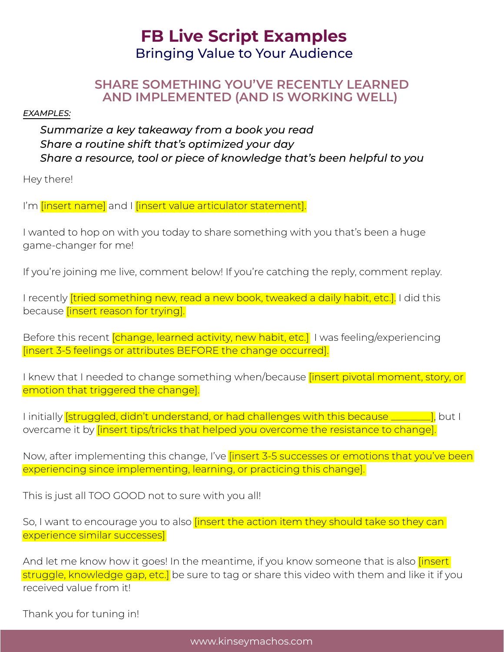# **FB Live Script Examples** Bringing Value to Your Audience

#### **SHARE SOMETHING YOU'VE RECENTLY LEARNED AND IMPLEMENTED (AND IS WORKING WELL)**

#### *EXAMPLES:*

*Summarize a key takeaway from a book you read Share a routine shift that's optimized your day Share a resource, tool or piece of knowledge that's been helpful to you*

Hey there!

I'm **[insert name]** and I **[insert value articulator statement]**.

I wanted to hop on with you today to share something with you that's been a huge game-changer for me!

If you're joining me live, comment below! If you're catching the reply, comment replay.

I recently *[tried something new, read a new book, tweaked a daily habit, etc.]*. I did this because *[insert reason for trying]*.

Before this recent *[change, learned activity, new habit, etc.]* I was feeling/experiencing [insert 3-5 feelings or attributes BEFORE the change occurred].

I knew that I needed to change something when/because *[insert pivotal moment, story, or* emotion that triggered the change].

I initially **[struggled, didn't understand, or had challenges with this because \_\_\_\_\_\_\_\_\_\_]**, but I overcame it by *[insert tips/tricks that helped you overcome the resistance to change]*.

Now, after implementing this change, I've linsert 3-5 successes or emotions that you've been experiencing since implementing, learning, or practicing this change].

This is just all TOO GOOD not to sure with you all!

So, I want to encourage you to also *[insert the action item they should take so they can* experience similar successes]

And let me know how it goes! In the meantime, if you know someone that is also *[insert]* struggle, knowledge gap, etc.] be sure to tag or share this video with them and like it if you received value from it!

Thank you for tuning in!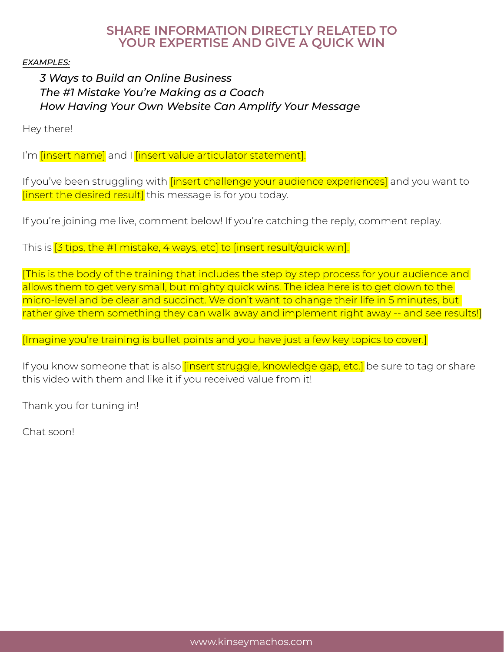### **SHARE INFORMATION DIRECTLY RELATED TO YOUR EXPERTISE AND GIVE A QUICK WIN**

*EXAMPLES:*

## *3 Ways to Build an Online Business The #1 Mistake You're Making as a Coach How Having Your Own Website Can Amplify Your Message*

Hey there!

I'm *[insert name]* and I *[insert value articulator statement]*.

If you've been struggling with *[insert challenge your audience experiences]* and you want to [insert the desired result] this message is for you today.

If you're joining me live, comment below! If you're catching the reply, comment replay.

This is [3 tips, the #1 mistake, 4 ways, etc] to [insert result/quick win].

[This is the body of the training that includes the step by step process for your audience and allows them to get very small, but mighty quick wins. The idea here is to get down to the micro-level and be clear and succinct. We don't want to change their life in 5 minutes, but rather give them something they can walk away and implement right away -- and see results!]

[Imagine you're training is bullet points and you have just a few key topics to cover.]

If you know someone that is also *[insert struggle, knowledge gap, etc.]* be sure to tag or share this video with them and like it if you received value from it!

Thank you for tuning in!

Chat soon!